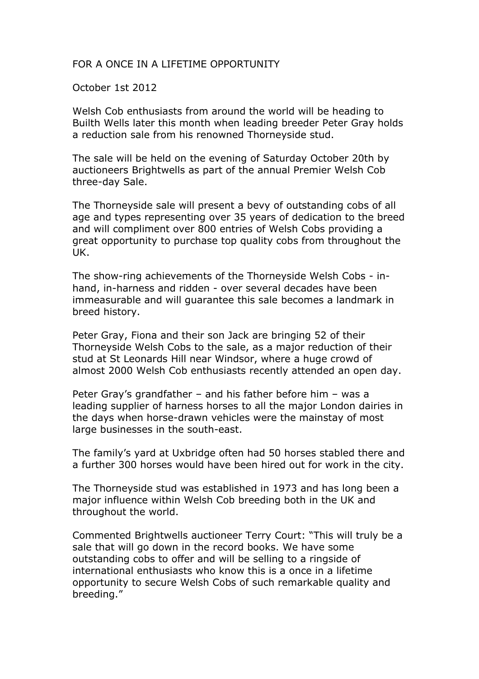## FOR A ONCE IN A LIFETIME OPPORTUNITY

October 1st 2012

Welsh Cob enthusiasts from around the world will be heading to Builth Wells later this month when leading breeder Peter Gray holds a reduction sale from his renowned Thorneyside stud.

The sale will be held on the evening of Saturday October 20th by auctioneers Brightwells as part of the annual Premier Welsh Cob three-day Sale.

The Thorneyside sale will present a bevy of outstanding cobs of all age and types representing over 35 years of dedication to the breed and will compliment over 800 entries of Welsh Cobs providing a great opportunity to purchase top quality cobs from throughout the UK.

The show-ring achievements of the Thorneyside Welsh Cobs - inhand, in-harness and ridden - over several decades have been immeasurable and will guarantee this sale becomes a landmark in breed history.

Peter Gray, Fiona and their son Jack are bringing 52 of their Thorneyside Welsh Cobs to the sale, as a major reduction of their stud at St Leonards Hill near Windsor, where a huge crowd of almost 2000 Welsh Cob enthusiasts recently attended an open day.

Peter Gray's grandfather – and his father before him – was a leading supplier of harness horses to all the major London dairies in the days when horse-drawn vehicles were the mainstay of most large businesses in the south-east.

The family's yard at Uxbridge often had 50 horses stabled there and a further 300 horses would have been hired out for work in the city.

The Thorneyside stud was established in 1973 and has long been a major influence within Welsh Cob breeding both in the UK and throughout the world.

Commented Brightwells auctioneer Terry Court: "This will truly be a sale that will go down in the record books. We have some outstanding cobs to offer and will be selling to a ringside of international enthusiasts who know this is a once in a lifetime opportunity to secure Welsh Cobs of such remarkable quality and breeding."